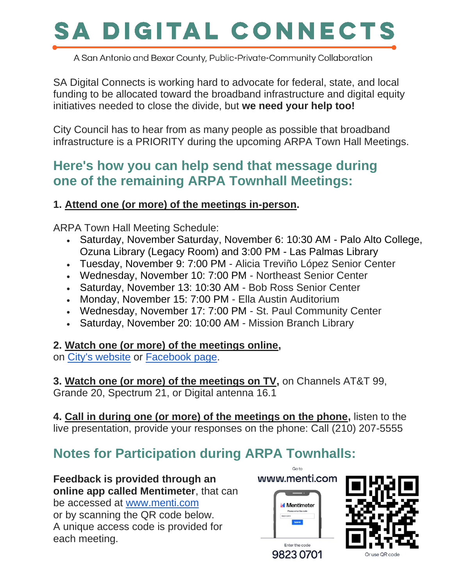# SA DIGITAL CONNECTS

A San Antonio and Bexar County, Public-Private-Community Collaboration

SA Digital Connects is working hard to advocate for federal, state, and local funding to be allocated toward the broadband infrastructure and digital equity initiatives needed to close the divide, but **we need your help too!**

City Council has to hear from as many people as possible that broadband infrastructure is a PRIORITY during the upcoming ARPA Town Hall Meetings.

## **Here's how you can help send that message during one of the remaining ARPA Townhall Meetings:**

## **1. Attend one (or more) of the meetings in-person.**

ARPA Town Hall Meeting Schedule:

- Saturday, November Saturday, November 6: 10:30 AM Palo Alto College, Ozuna Library (Legacy Room) and 3:00 PM - Las Palmas Library
- Tuesday, November 9: 7:00 PM Alicia Treviño López Senior Center
- Wednesday, November 10: 7:00 PM Northeast Senior Center
- Saturday, November 13: 10:30 AM Bob Ross Senior Center
- Monday, November 15: 7:00 PM Ella Austin Auditorium
- Wednesday, November 17: 7:00 PM St. Paul Community Center
- Saturday, November 20: 10:00 AM Mission Branch Library

## **2. Watch one (or more) of the meetings online,**

on City's [website](https://oci-group-dot-yamm-track.appspot.com/Redirect?ukey=1T6j_9kpg8X-r3BJLsf9QE1vls5JRIy9IVmLRTyn6tXM-0&key=YAMMID-99009613&link=https://www.sanantonio.gov/tvsa) or [Facebook page.](https://oci-group-dot-yamm-track.appspot.com/Redirect?ukey=1T6j_9kpg8X-r3BJLsf9QE1vls5JRIy9IVmLRTyn6tXM-0&key=YAMMID-99009613&link=https://www.facebook.com/cosagov/)

**3. Watch one (or more) of the meetings on TV,** on Channels AT&T 99, Grande 20, Spectrum 21, or Digital antenna 16.1

**4. Call in during one (or more) of the meetings on the phone,** listen to the live presentation, provide your responses on the phone: Call (210) 207-5555

## **Notes for Participation during ARPA Townhalls:**

**Feedback is provided through an online app called Mentimeter**, that can be accessed at [www.menti.com](https://oci-group-dot-yamm-track.appspot.com/Redirect?ukey=1T6j_9kpg8X-r3BJLsf9QE1vls5JRIy9IVmLRTyn6tXM-0&key=YAMMID-99009613&link=http://www.menti.com/) or by scanning the QR code below. A unique access code is provided for each meeting.